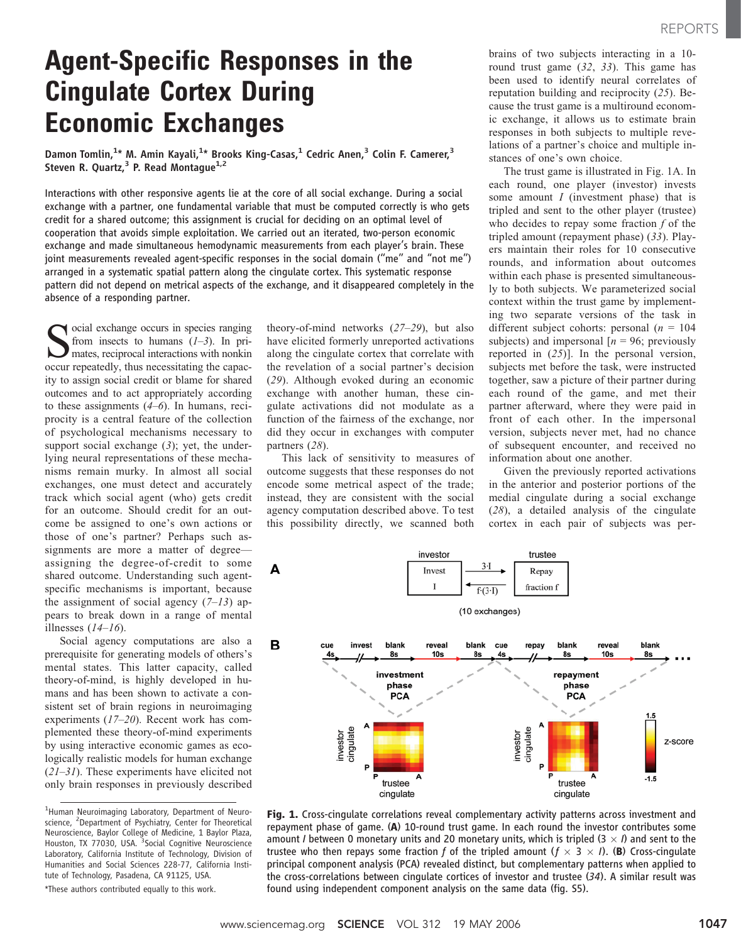# Agent-Specific Responses in the Cingulate Cortex During Economic Exchanges

Damon Tomlin,<sup>1\*</sup> M. Amin Kayali,<sup>1\*</sup> Brooks King-Casas,<sup>1</sup> Cedric Anen,<sup>3</sup> Colin F. Camerer,<sup>3</sup> Steven R. Quartz, $3$  P. Read Montague<sup>1,2</sup>

Interactions with other responsive agents lie at the core of all social exchange. During a social exchange with a partner, one fundamental variable that must be computed correctly is who gets credit for a shared outcome; this assignment is crucial for deciding on an optimal level of cooperation that avoids simple exploitation. We carried out an iterated, two-person economic exchange and made simultaneous hemodynamic measurements from each player's brain. These joint measurements revealed agent-specific responses in the social domain (''me'' and ''not me'') arranged in a systematic spatial pattern along the cingulate cortex. This systematic response pattern did not depend on metrical aspects of the exchange, and it disappeared completely in the absence of a responding partner.

Social exchange occurs in species ranging<br>from insects to humans  $(1-3)$ . In pri-<br>mates, reciprocal interactions with nonkin<br>occur reneatedly thus necessitating the canacfrom insects to humans  $(1-3)$ . In primates, reciprocal interactions with nonkin occur repeatedly, thus necessitating the capacity to assign social credit or blame for shared outcomes and to act appropriately according to these assignments (4–6). In humans, reciprocity is a central feature of the collection of psychological mechanisms necessary to support social exchange  $(3)$ ; yet, the underlying neural representations of these mechanisms remain murky. In almost all social exchanges, one must detect and accurately track which social agent (who) gets credit for an outcome. Should credit for an outcome be assigned to one's own actions or those of one's partner? Perhaps such assignments are more a matter of degree assigning the degree-of-credit to some shared outcome. Understanding such agentspecific mechanisms is important, because the assignment of social agency  $(7-13)$  appears to break down in a range of mental illnesses  $(14–16)$ .

Social agency computations are also a prerequisite for generating models of others's mental states. This latter capacity, called theory-of-mind, is highly developed in humans and has been shown to activate a consistent set of brain regions in neuroimaging experiments (17–20). Recent work has complemented these theory-of-mind experiments by using interactive economic games as ecologically realistic models for human exchange  $(21-31)$ . These experiments have elicited not only brain responses in previously described

\*These authors contributed equally to this work.

theory-of-mind networks (27–29), but also have elicited formerly unreported activations along the cingulate cortex that correlate with the revelation of a social partner's decision (29). Although evoked during an economic exchange with another human, these cingulate activations did not modulate as a function of the fairness of the exchange, nor did they occur in exchanges with computer partners (28).

This lack of sensitivity to measures of outcome suggests that these responses do not encode some metrical aspect of the trade; instead, they are consistent with the social agency computation described above. To test this possibility directly, we scanned both

brains of two subjects interacting in a 10 round trust game  $(32, 33)$ . This game has been used to identify neural correlates of reputation building and reciprocity (25). Because the trust game is a multiround economic exchange, it allows us to estimate brain responses in both subjects to multiple revelations of a partner's choice and multiple instances of one's own choice.

The trust game is illustrated in Fig. 1A. In each round, one player (investor) invests some amount *I* (investment phase) that is tripled and sent to the other player (trustee) who decides to repay some fraction  $f$  of the tripled amount (repayment phase) (33). Players maintain their roles for 10 consecutive rounds, and information about outcomes within each phase is presented simultaneously to both subjects. We parameterized social context within the trust game by implementing two separate versions of the task in different subject cohorts: personal  $(n = 104)$ subjects) and impersonal  $[n = 96;$  previously reported in  $(25)$ ]. In the personal version, subjects met before the task, were instructed together, saw a picture of their partner during each round of the game, and met their partner afterward, where they were paid in front of each other. In the impersonal version, subjects never met, had no chance of subsequent encounter, and received no information about one another.

Given the previously reported activations in the anterior and posterior portions of the medial cingulate during a social exchange (28), a detailed analysis of the cingulate cortex in each pair of subjects was per-



Fig. 1. Cross-cingulate correlations reveal complementary activity patterns across investment and repayment phase of game. (A) 10-round trust game. In each round the investor contributes some amount *I* between 0 monetary units and 20 monetary units, which is tripled (3  $\times$  *I*) and sent to the trustee who then repays some fraction f of the tripled amount ( $f \times 3 \times I$ ). (B) Cross-cingulate principal component analysis (PCA) revealed distinct, but complementary patterns when applied to the cross-correlations between cingulate cortices of investor and trustee (34). A similar result was found using independent component analysis on the same data (fig. S5).

<sup>&</sup>lt;sup>1</sup>Human Neuroimaging Laboratory, Department of Neuroscience, <sup>2</sup>Department of Psychiatry, Center for Theoretical Neuroscience, Baylor College of Medicine, 1 Baylor Plaza, Houston, TX 77030, USA. <sup>3</sup>Social Cognitive Neuroscience Laboratory, California Institute of Technology, Division of Humanities and Social Sciences 228-77, California Institute of Technology, Pasadena, CA 91125, USA.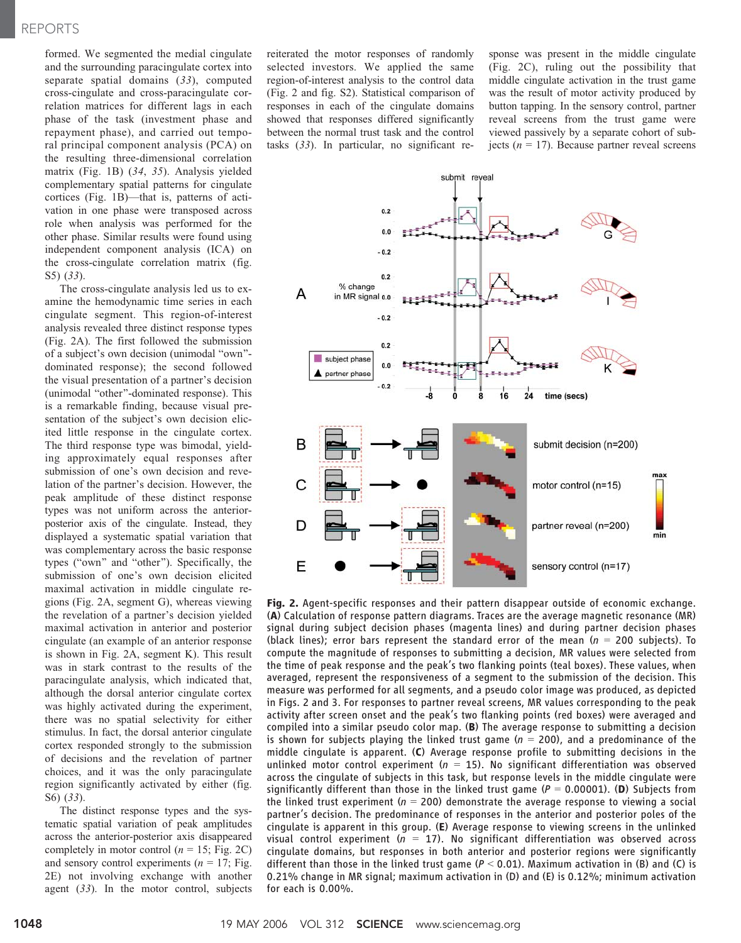## REPORTS

formed. We segmented the medial cingulate and the surrounding paracingulate cortex into separate spatial domains (33), computed cross-cingulate and cross-paracingulate correlation matrices for different lags in each phase of the task (investment phase and repayment phase), and carried out temporal principal component analysis (PCA) on the resulting three-dimensional correlation matrix (Fig. 1B) (34, 35). Analysis yielded complementary spatial patterns for cingulate cortices (Fig. 1B)—that is, patterns of activation in one phase were transposed across role when analysis was performed for the other phase. Similar results were found using independent component analysis (ICA) on the cross-cingulate correlation matrix (fig. S5) (33).

The cross-cingulate analysis led us to examine the hemodynamic time series in each cingulate segment. This region-of-interest analysis revealed three distinct response types (Fig. 2A). The first followed the submission of a subject's own decision (unimodal "own"dominated response); the second followed the visual presentation of a partner's decision (unimodal "other"-dominated response). This is a remarkable finding, because visual presentation of the subject's own decision elicited little response in the cingulate cortex. The third response type was bimodal, yielding approximately equal responses after submission of one's own decision and revelation of the partner's decision. However, the peak amplitude of these distinct response types was not uniform across the anteriorposterior axis of the cingulate. Instead, they displayed a systematic spatial variation that was complementary across the basic response types ("own" and "other"). Specifically, the submission of one's own decision elicited maximal activation in middle cingulate regions (Fig. 2A, segment G), whereas viewing the revelation of a partner's decision yielded maximal activation in anterior and posterior cingulate (an example of an anterior response is shown in Fig. 2A, segment K). This result was in stark contrast to the results of the paracingulate analysis, which indicated that, although the dorsal anterior cingulate cortex was highly activated during the experiment, there was no spatial selectivity for either stimulus. In fact, the dorsal anterior cingulate cortex responded strongly to the submission of decisions and the revelation of partner choices, and it was the only paracingulate region significantly activated by either (fig. S6) (33).

The distinct response types and the systematic spatial variation of peak amplitudes across the anterior-posterior axis disappeared completely in motor control ( $n = 15$ ; Fig. 2C) and sensory control experiments ( $n = 17$ ; Fig. 2E) not involving exchange with another agent (33). In the motor control, subjects

reiterated the motor responses of randomly selected investors. We applied the same region-of-interest analysis to the control data (Fig. 2 and fig. S2). Statistical comparison of responses in each of the cingulate domains showed that responses differed significantly between the normal trust task and the control tasks (33). In particular, no significant re-

sponse was present in the middle cingulate (Fig. 2C), ruling out the possibility that middle cingulate activation in the trust game was the result of motor activity produced by button tapping. In the sensory control, partner reveal screens from the trust game were viewed passively by a separate cohort of subjects ( $n = 17$ ). Because partner reveal screens



Fig. 2. Agent-specific responses and their pattern disappear outside of economic exchange. (A) Calculation of response pattern diagrams. Traces are the average magnetic resonance (MR) signal during subject decision phases (magenta lines) and during partner decision phases (black lines); error bars represent the standard error of the mean ( $n = 200$  subjects). To compute the magnitude of responses to submitting a decision, MR values were selected from the time of peak response and the peak's two flanking points (teal boxes). These values, when averaged, represent the responsiveness of a segment to the submission of the decision. This measure was performed for all segments, and a pseudo color image was produced, as depicted in Figs. 2 and 3. For responses to partner reveal screens, MR values corresponding to the peak activity after screen onset and the peak's two flanking points (red boxes) were averaged and compiled into a similar pseudo color map. (B) The average response to submitting a decision is shown for subjects playing the linked trust game ( $n = 200$ ), and a predominance of the middle cingulate is apparent. (C) Average response profile to submitting decisions in the unlinked motor control experiment ( $n = 15$ ). No significant differentiation was observed across the cingulate of subjects in this task, but response levels in the middle cingulate were significantly different than those in the linked trust game ( $P = 0.00001$ ). (D) Subjects from the linked trust experiment ( $n = 200$ ) demonstrate the average response to viewing a social partner's decision. The predominance of responses in the anterior and posterior poles of the cingulate is apparent in this group. (E) Average response to viewing screens in the unlinked visual control experiment ( $n = 17$ ). No significant differentiation was observed across cingulate domains, but responses in both anterior and posterior regions were significantly different than those in the linked trust game ( $P < 0.01$ ). Maximum activation in (B) and (C) is 0.21% change in MR signal; maximum activation in (D) and (E) is 0.12%; minimum activation for each is 0.00%.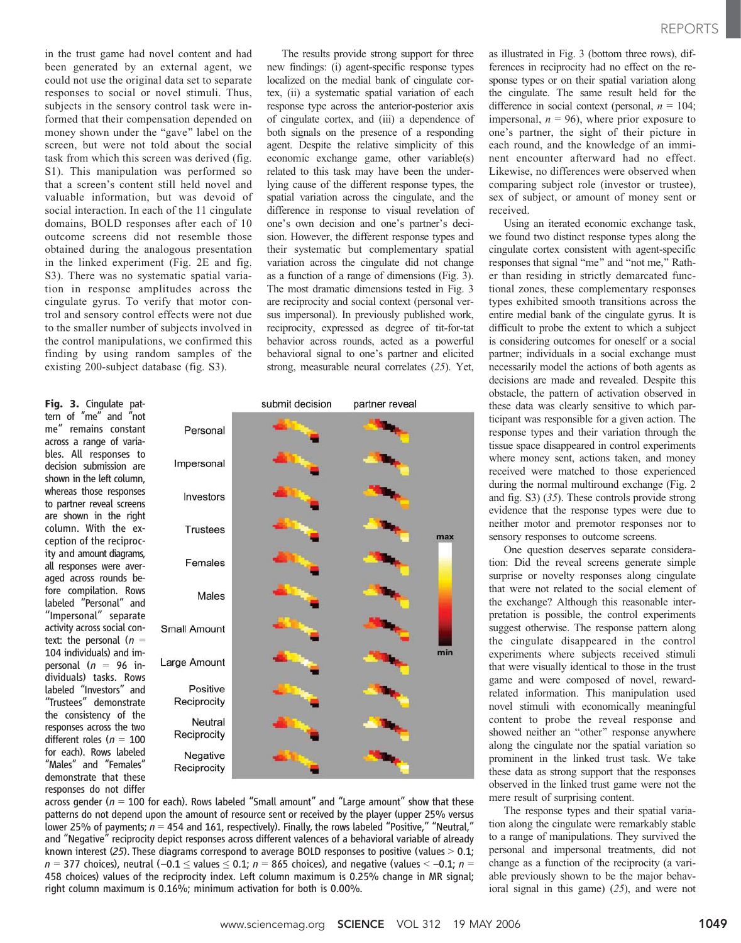in the trust game had novel content and had been generated by an external agent, we could not use the original data set to separate responses to social or novel stimuli. Thus, subjects in the sensory control task were informed that their compensation depended on money shown under the "gave" label on the screen, but were not told about the social task from which this screen was derived (fig. S1). This manipulation was performed so that a screen's content still held novel and valuable information, but was devoid of social interaction. In each of the 11 cingulate domains, BOLD responses after each of 10 outcome screens did not resemble those obtained during the analogous presentation in the linked experiment (Fig. 2E and fig. S3). There was no systematic spatial variation in response amplitudes across the cingulate gyrus. To verify that motor control and sensory control effects were not due to the smaller number of subjects involved in the control manipulations, we confirmed this finding by using random samples of the existing 200-subject database (fig. S3).

Fig. 3. Cingulate pattern of "me" and "not me'' remains constant across a range of variables. All responses to decision submission are shown in the left column, whereas those responses to partner reveal screens are shown in the right column. With the exception of the reciprocity and amount diagrams, all responses were averaged across rounds before compilation. Rows labeled ''Personal'' and ''Impersonal'' separate activity across social context: the personal  $(n =$ 104 individuals) and impersonal ( $n = 96$  individuals) tasks. Rows labeled ''Investors'' and ''Trustees'' demonstrate the consistency of the responses across the two different roles ( $n = 100$ for each). Rows labeled ''Males'' and ''Females'' demonstrate that these responses do not differ

The results provide strong support for three new findings: (i) agent-specific response types localized on the medial bank of cingulate cortex, (ii) a systematic spatial variation of each response type across the anterior-posterior axis of cingulate cortex, and (iii) a dependence of both signals on the presence of a responding agent. Despite the relative simplicity of this economic exchange game, other variable(s) related to this task may have been the underlying cause of the different response types, the spatial variation across the cingulate, and the difference in response to visual revelation of one's own decision and one's partner's decision. However, the different response types and their systematic but complementary spatial variation across the cingulate did not change as a function of a range of dimensions (Fig. 3). The most dramatic dimensions tested in Fig. 3 are reciprocity and social context (personal versus impersonal). In previously published work, reciprocity, expressed as degree of tit-for-tat behavior across rounds, acted as a powerful behavioral signal to one's partner and elicited strong, measurable neural correlates (25). Yet,



across gender ( $n = 100$  for each). Rows labeled "Small amount" and "Large amount" show that these patterns do not depend upon the amount of resource sent or received by the player (upper 25% versus lower 25% of payments;  $n = 454$  and 161, respectively). Finally, the rows labeled "Positive," "Neutral," and ''Negative'' reciprocity depict responses across different valences of a behavioral variable of already known interest (25). These diagrams correspond to average BOLD responses to positive (values  $> 0.1$ ;  $n = 377$  choices), neutral (-0.1  $\le$  values  $\le$  0.1; n = 865 choices), and negative (values  $\le$  -0.1; n = 458 choices) values of the reciprocity index. Left column maximum is 0.25% change in MR signal; right column maximum is 0.16%; minimum activation for both is 0.00%.

as illustrated in Fig. 3 (bottom three rows), differences in reciprocity had no effect on the response types or on their spatial variation along the cingulate. The same result held for the difference in social context (personal,  $n = 104$ ; impersonal,  $n = 96$ ), where prior exposure to one's partner, the sight of their picture in each round, and the knowledge of an imminent encounter afterward had no effect. Likewise, no differences were observed when comparing subject role (investor or trustee), sex of subject, or amount of money sent or received.

Using an iterated economic exchange task, we found two distinct response types along the cingulate cortex consistent with agent-specific responses that signal "me" and "not me," Rather than residing in strictly demarcated functional zones, these complementary responses types exhibited smooth transitions across the entire medial bank of the cingulate gyrus. It is difficult to probe the extent to which a subject is considering outcomes for oneself or a social partner; individuals in a social exchange must necessarily model the actions of both agents as decisions are made and revealed. Despite this obstacle, the pattern of activation observed in these data was clearly sensitive to which participant was responsible for a given action. The response types and their variation through the tissue space disappeared in control experiments where money sent, actions taken, and money received were matched to those experienced during the normal multiround exchange (Fig. 2 and fig. S3) (35). These controls provide strong evidence that the response types were due to neither motor and premotor responses nor to sensory responses to outcome screens.

One question deserves separate consideration: Did the reveal screens generate simple surprise or novelty responses along cingulate that were not related to the social element of the exchange? Although this reasonable interpretation is possible, the control experiments suggest otherwise. The response pattern along the cingulate disappeared in the control experiments where subjects received stimuli that were visually identical to those in the trust game and were composed of novel, rewardrelated information. This manipulation used novel stimuli with economically meaningful content to probe the reveal response and showed neither an "other" response anywhere along the cingulate nor the spatial variation so prominent in the linked trust task. We take these data as strong support that the responses observed in the linked trust game were not the mere result of surprising content.

The response types and their spatial variation along the cingulate were remarkably stable to a range of manipulations. They survived the personal and impersonal treatments, did not change as a function of the reciprocity (a variable previously shown to be the major behavioral signal in this game) (25), and were not